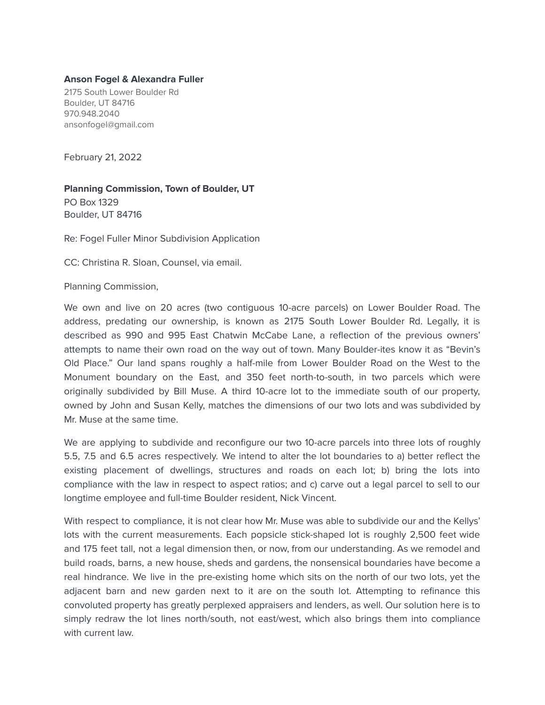## **Anson Fogel & Alexandra Fuller**

2175 South Lower Boulder Rd Boulder, UT 84716 970.948.2040 ansonfogel@gmail.com

February 21, 2022

**Planning Commission, Town of Boulder, UT** PO Box 1329 Boulder, UT 84716

Re: Fogel Fuller Minor Subdivision Application

CC: Christina R. Sloan, Counsel, via email.

Planning Commission,

We own and live on 20 acres (two contiguous 10-acre parcels) on Lower Boulder Road. The address, predating our ownership, is known as 2175 South Lower Boulder Rd. Legally, it is described as 990 and 995 East Chatwin McCabe Lane, a reflection of the previous owners' attempts to name their own road on the way out of town. Many Boulder-ites know it as "Bevin's Old Place." Our land spans roughly a half-mile from Lower Boulder Road on the West to the Monument boundary on the East, and 350 feet north-to-south, in two parcels which were originally subdivided by Bill Muse. A third 10-acre lot to the immediate south of our property, owned by John and Susan Kelly, matches the dimensions of our two lots and was subdivided by Mr. Muse at the same time.

We are applying to subdivide and reconfigure our two 10-acre parcels into three lots of roughly 5.5, 7.5 and 6.5 acres respectively. We intend to alter the lot boundaries to a) better reflect the existing placement of dwellings, structures and roads on each lot; b) bring the lots into compliance with the law in respect to aspect ratios; and c) carve out a legal parcel to sell to our longtime employee and full-time Boulder resident, Nick Vincent.

With respect to compliance, it is not clear how Mr. Muse was able to subdivide our and the Kellys' lots with the current measurements. Each popsicle stick-shaped lot is roughly 2,500 feet wide and 175 feet tall, not a legal dimension then, or now, from our understanding. As we remodel and build roads, barns, a new house, sheds and gardens, the nonsensical boundaries have become a real hindrance. We live in the pre-existing home which sits on the north of our two lots, yet the adjacent barn and new garden next to it are on the south lot. Attempting to refinance this convoluted property has greatly perplexed appraisers and lenders, as well. Our solution here is to simply redraw the lot lines north/south, not east/west, which also brings them into compliance with current law.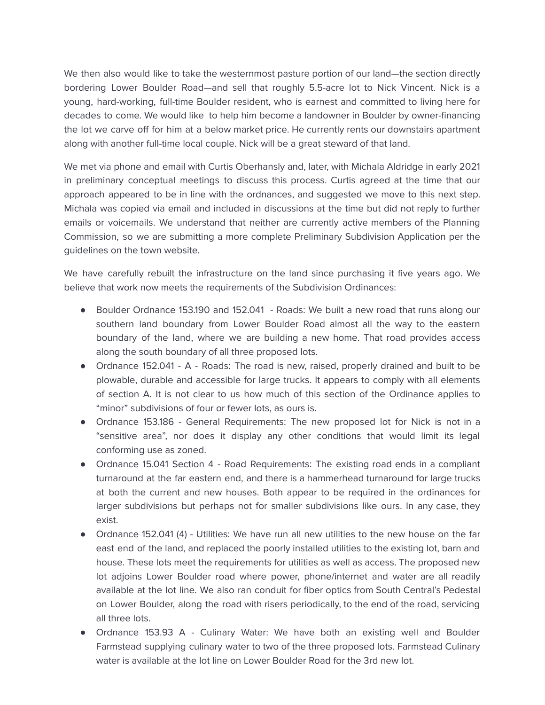We then also would like to take the westernmost pasture portion of our land—the section directly bordering Lower Boulder Road—and sell that roughly 5.5-acre lot to Nick Vincent. Nick is a young, hard-working, full-time Boulder resident, who is earnest and committed to living here for decades to come. We would like to help him become a landowner in Boulder by owner-financing the lot we carve off for him at a below market price. He currently rents our downstairs apartment along with another full-time local couple. Nick will be a great steward of that land.

We met via phone and email with Curtis Oberhansly and, later, with Michala Aldridge in early 2021 in preliminary conceptual meetings to discuss this process. Curtis agreed at the time that our approach appeared to be in line with the ordnances, and suggested we move to this next step. Michala was copied via email and included in discussions at the time but did not reply to further emails or voicemails. We understand that neither are currently active members of the Planning Commission, so we are submitting a more complete Preliminary Subdivision Application per the guidelines on the town website.

We have carefully rebuilt the infrastructure on the land since purchasing it five years ago. We believe that work now meets the requirements of the Subdivision Ordinances:

- Boulder Ordnance 153.190 and 152.041 Roads: We built a new road that runs along our southern land boundary from Lower Boulder Road almost all the way to the eastern boundary of the land, where we are building a new home. That road provides access along the south boundary of all three proposed lots.
- Ordnance 152.041 A Roads: The road is new, raised, properly drained and built to be plowable, durable and accessible for large trucks. It appears to comply with all elements of section A. It is not clear to us how much of this section of the Ordinance applies to "minor" subdivisions of four or fewer lots, as ours is.
- Ordnance 153.186 General Requirements: The new proposed lot for Nick is not in a "sensitive area", nor does it display any other conditions that would limit its legal conforming use as zoned.
- Ordnance 15.041 Section 4 Road Requirements: The existing road ends in a compliant turnaround at the far eastern end, and there is a hammerhead turnaround for large trucks at both the current and new houses. Both appear to be required in the ordinances for larger subdivisions but perhaps not for smaller subdivisions like ours. In any case, they exist.
- Ordnance 152.041 (4) Utilities: We have run all new utilities to the new house on the far east end of the land, and replaced the poorly installed utilities to the existing lot, barn and house. These lots meet the requirements for utilities as well as access. The proposed new lot adjoins Lower Boulder road where power, phone/internet and water are all readily available at the lot line. We also ran conduit for fiber optics from South Central's Pedestal on Lower Boulder, along the road with risers periodically, to the end of the road, servicing all three lots.
- Ordnance 153.93 A Culinary Water: We have both an existing well and Boulder Farmstead supplying culinary water to two of the three proposed lots. Farmstead Culinary water is available at the lot line on Lower Boulder Road for the 3rd new lot.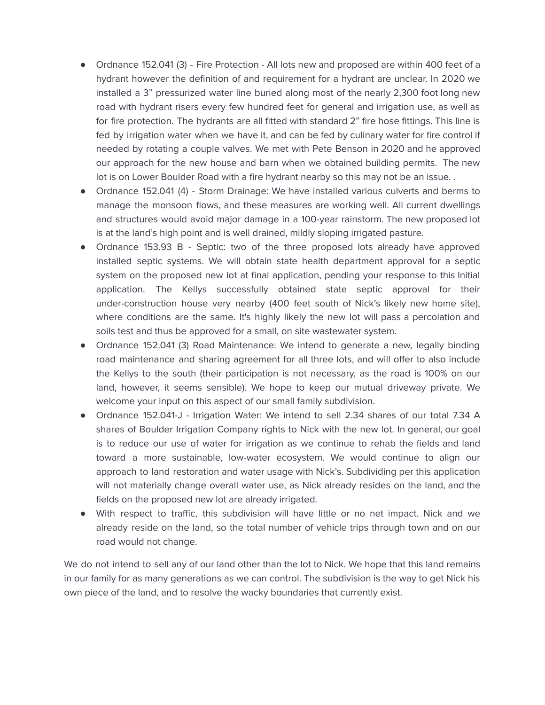- Ordnance 152.041 (3) Fire Protection All lots new and proposed are within 400 feet of a hydrant however the definition of and requirement for a hydrant are unclear. In 2020 we installed a 3" pressurized water line buried along most of the nearly 2,300 foot long new road with hydrant risers every few hundred feet for general and irrigation use, as well as for fire protection. The hydrants are all fitted with standard 2" fire hose fittings. This line is fed by irrigation water when we have it, and can be fed by culinary water for fire control if needed by rotating a couple valves. We met with Pete Benson in 2020 and he approved our approach for the new house and barn when we obtained building permits. The new lot is on Lower Boulder Road with a fire hydrant nearby so this may not be an issue. .
- Ordnance 152.041 (4) Storm Drainage: We have installed various culverts and berms to manage the monsoon flows, and these measures are working well. All current dwellings and structures would avoid major damage in a 100-year rainstorm. The new proposed lot is at the land's high point and is well drained, mildly sloping irrigated pasture.
- Ordnance 153.93 B Septic: two of the three proposed lots already have approved installed septic systems. We will obtain state health department approval for a septic system on the proposed new lot at final application, pending your response to this Initial application. The Kellys successfully obtained state septic approval for their under-construction house very nearby (400 feet south of Nick's likely new home site), where conditions are the same. It's highly likely the new lot will pass a percolation and soils test and thus be approved for a small, on site wastewater system.
- Ordnance 152.041 (3) Road Maintenance: We intend to generate a new, legally binding road maintenance and sharing agreement for all three lots, and will offer to also include the Kellys to the south (their participation is not necessary, as the road is 100% on our land, however, it seems sensible). We hope to keep our mutual driveway private. We welcome your input on this aspect of our small family subdivision.
- Ordnance 152.041-J Irrigation Water: We intend to sell 2.34 shares of our total 7.34 A shares of Boulder Irrigation Company rights to Nick with the new lot. In general, our goal is to reduce our use of water for irrigation as we continue to rehab the fields and land toward a more sustainable, low-water ecosystem. We would continue to align our approach to land restoration and water usage with Nick's. Subdividing per this application will not materially change overall water use, as Nick already resides on the land, and the fields on the proposed new lot are already irrigated.
- With respect to traffic, this subdivision will have little or no net impact. Nick and we already reside on the land, so the total number of vehicle trips through town and on our road would not change.

We do not intend to sell any of our land other than the lot to Nick. We hope that this land remains in our family for as many generations as we can control. The subdivision is the way to get Nick his own piece of the land, and to resolve the wacky boundaries that currently exist.